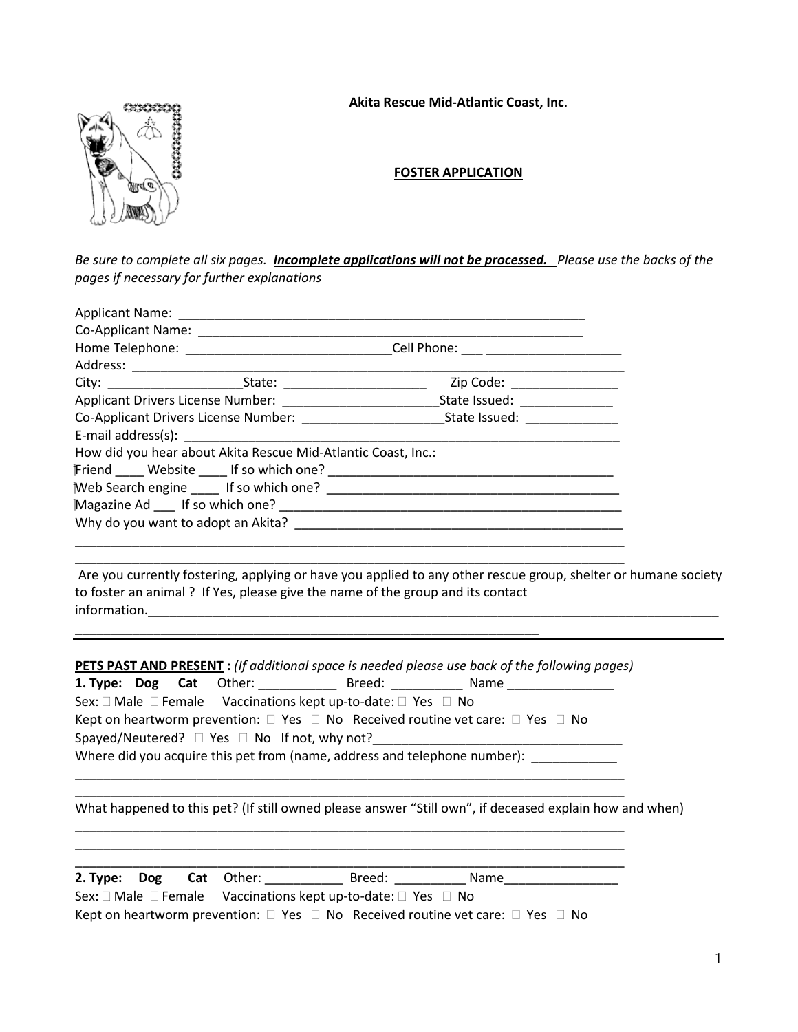#### **Akita Rescue Mid-Atlantic Coast, Inc**.



### **FOSTER APPLICATION**

*Be sure to complete all six pages. Incomplete applications will not be processed. Please use the backs of the pages if necessary for further explanations*

| Home Telephone: __________________________________Cell Phone: ____ ______________ |                                                                                               |                                                                                                                |  |
|-----------------------------------------------------------------------------------|-----------------------------------------------------------------------------------------------|----------------------------------------------------------------------------------------------------------------|--|
|                                                                                   |                                                                                               |                                                                                                                |  |
|                                                                                   |                                                                                               |                                                                                                                |  |
|                                                                                   |                                                                                               | Applicant Drivers License Number: _______________________________State Issued: ____________________            |  |
|                                                                                   |                                                                                               |                                                                                                                |  |
|                                                                                   | E-mail address(s): E-mail address(s):                                                         |                                                                                                                |  |
|                                                                                   | How did you hear about Akita Rescue Mid-Atlantic Coast, Inc.:                                 |                                                                                                                |  |
|                                                                                   |                                                                                               |                                                                                                                |  |
|                                                                                   |                                                                                               |                                                                                                                |  |
|                                                                                   |                                                                                               |                                                                                                                |  |
|                                                                                   |                                                                                               |                                                                                                                |  |
|                                                                                   |                                                                                               |                                                                                                                |  |
|                                                                                   | to foster an animal? If Yes, please give the name of the group and its contact                | Are you currently fostering, applying or have you applied to any other rescue group, shelter or humane society |  |
|                                                                                   |                                                                                               | <b>PETS PAST AND PRESENT</b> : (If additional space is needed please use back of the following pages)          |  |
|                                                                                   |                                                                                               | 1. Type: Dog Cat Other: _______________ Breed: _____________ Name ______________                               |  |
|                                                                                   | Sex: $\square$ Male $\square$ Female Vaccinations kept up-to-date: $\square$ Yes $\square$ No |                                                                                                                |  |
|                                                                                   |                                                                                               | Kept on heartworm prevention: $\square$ Yes $\square$ No Received routine vet care: $\square$ Yes $\square$ No |  |
|                                                                                   |                                                                                               |                                                                                                                |  |
|                                                                                   |                                                                                               | Where did you acquire this pet from (name, address and telephone number):                                      |  |
|                                                                                   |                                                                                               |                                                                                                                |  |
|                                                                                   |                                                                                               | What happened to this pet? (If still owned please answer "Still own", if deceased explain how and when)        |  |
|                                                                                   |                                                                                               |                                                                                                                |  |
| 2. Type:<br><b>Dog</b>                                                            | Cat<br>Other:                                                                                 | Breed:<br>Name                                                                                                 |  |

| Sex: $\Box$ Male $\Box$ Female Vaccinations kept up-to-date: $\Box$ Yes $\Box$ No |                                                                                                                |
|-----------------------------------------------------------------------------------|----------------------------------------------------------------------------------------------------------------|
|                                                                                   | Kept on heartworm prevention: $\square$ Yes $\square$ No Received routine vet care: $\square$ Yes $\square$ No |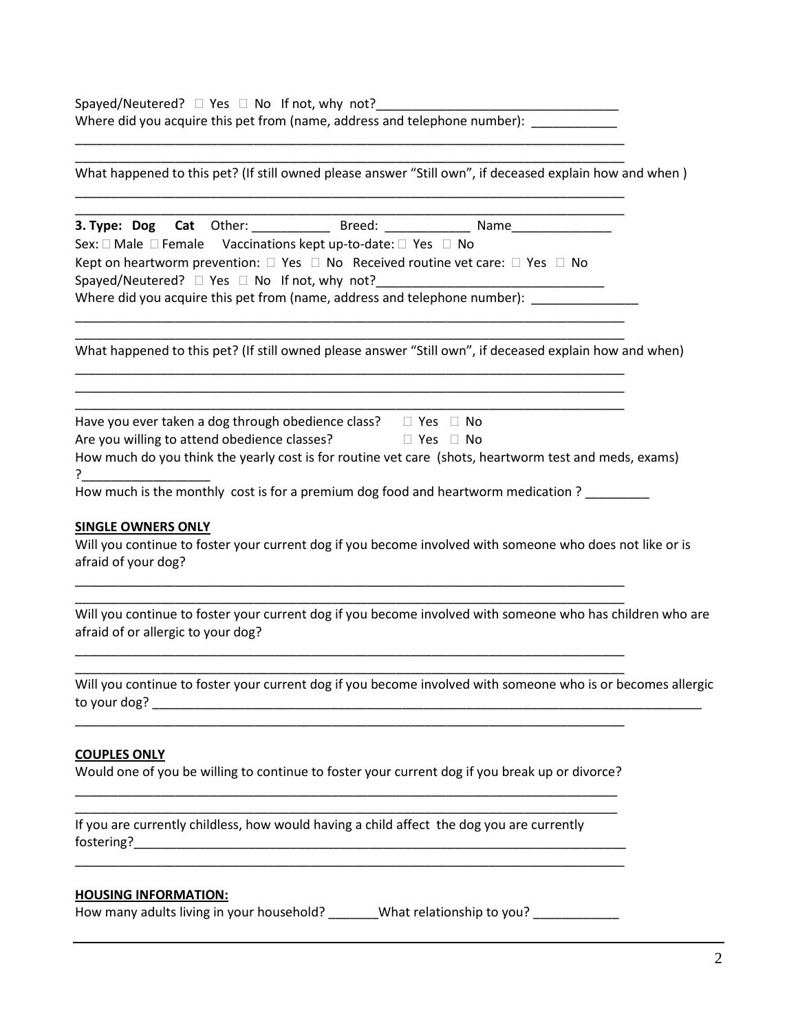Spayed/Neutered? Yes No If not, why not?\_\_\_\_\_\_\_\_\_\_\_\_\_\_\_\_\_\_\_\_\_\_\_\_\_\_\_\_\_\_\_\_\_\_ Where did you acquire this pet from (name, address and telephone number): \_\_\_\_\_\_\_\_\_\_\_\_

\_\_\_\_\_\_\_\_\_\_\_\_\_\_\_\_\_\_\_\_\_\_\_\_\_\_\_\_\_\_\_\_\_\_\_\_\_\_\_\_\_\_\_\_\_\_\_\_\_\_\_\_\_\_\_\_\_\_\_\_\_\_\_\_\_\_\_\_\_\_\_\_\_\_\_\_\_

| What happened to this pet? (If still owned please answer "Still own", if deceased explain how and when)                                                                                                                                                                                                                                                                                                                                                                                                          |
|------------------------------------------------------------------------------------------------------------------------------------------------------------------------------------------------------------------------------------------------------------------------------------------------------------------------------------------------------------------------------------------------------------------------------------------------------------------------------------------------------------------|
| 3. Type: Dog Cat Other: ______________ Breed: _______________ Name______________<br>Sex: □ Male □ Female Vaccinations kept up-to-date: □ Yes □ No<br>Kept on heartworm prevention: $\square$ Yes $\square$ No Received routine vet care: $\square$ Yes $\square$ No<br>Spayed/Neutered? □ Yes □ No If not, why not?<br>Where did you acquire this pet from (name, address and telephone number): _____________                                                                                                   |
| What happened to this pet? (If still owned please answer "Still own", if deceased explain how and when)                                                                                                                                                                                                                                                                                                                                                                                                          |
| Have you ever taken a dog through obedience class? $\square$ Yes $\square$ No<br>Are you willing to attend obedience classes? $\Box$ Yes $\Box$ No<br>How much do you think the yearly cost is for routine vet care (shots, heartworm test and meds, exams)<br>How much is the monthly cost is for a premium dog food and heartworm medication ?<br><b>SINGLE OWNERS ONLY</b><br>Will you continue to foster your current dog if you become involved with someone who does not like or is<br>afraid of your dog? |
| Will you continue to foster your current dog if you become involved with someone who has children who are<br>afraid of or allergic to your dog?                                                                                                                                                                                                                                                                                                                                                                  |
| Will you continue to foster your current dog if you become involved with someone who is or becomes allergic                                                                                                                                                                                                                                                                                                                                                                                                      |
| <b>COUPLES ONLY</b><br>Would one of you be willing to continue to foster your current dog if you break up or divorce?                                                                                                                                                                                                                                                                                                                                                                                            |
| If you are currently childless, how would having a child affect the dog you are currently                                                                                                                                                                                                                                                                                                                                                                                                                        |
| <b>HOUSING INFORMATION:</b><br>How many adults living in your household? _______What relationship to you? ___________                                                                                                                                                                                                                                                                                                                                                                                            |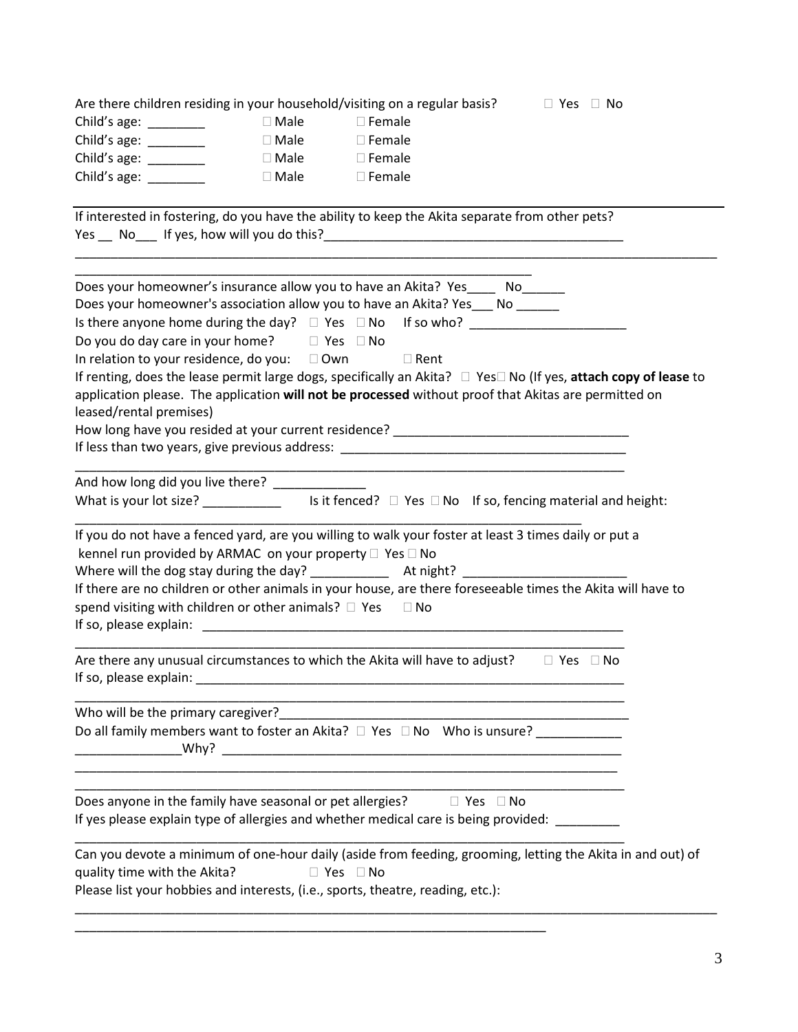| Are there children residing in your household/visiting on a regular basis?                                                                                                                                                                                                                                                                                                                                                                                                                                                                                                                                                                     |             |                                                             | $\Box$ Yes $\Box$ No |  |
|------------------------------------------------------------------------------------------------------------------------------------------------------------------------------------------------------------------------------------------------------------------------------------------------------------------------------------------------------------------------------------------------------------------------------------------------------------------------------------------------------------------------------------------------------------------------------------------------------------------------------------------------|-------------|-------------------------------------------------------------|----------------------|--|
| Child's age: ________                                                                                                                                                                                                                                                                                                                                                                                                                                                                                                                                                                                                                          | □ Male      | $\Box$ Female                                               |                      |  |
| Child's age: $\frac{1}{2}$                                                                                                                                                                                                                                                                                                                                                                                                                                                                                                                                                                                                                     | $\Box$ Male | $\Box$ Female                                               |                      |  |
| Child's age: $\frac{1}{2}$                                                                                                                                                                                                                                                                                                                                                                                                                                                                                                                                                                                                                     | $\Box$ Male | $\square$ Female                                            |                      |  |
| Child's age: $\frac{1}{\sqrt{1-\frac{1}{2}}\cdot\frac{1}{\sqrt{1-\frac{1}{2}}}}$                                                                                                                                                                                                                                                                                                                                                                                                                                                                                                                                                               | $\Box$ Male | $\square$ Female                                            |                      |  |
| If interested in fostering, do you have the ability to keep the Akita separate from other pets?                                                                                                                                                                                                                                                                                                                                                                                                                                                                                                                                                |             |                                                             |                      |  |
| Does your homeowner's insurance allow you to have an Akita? Yes_____ No______<br>Does your homeowner's association allow you to have an Akita? Yes___ No ______<br>Is there anyone home during the day? □ Yes □ No If so who? _____________________<br>Do you do day care in your home? $\Box$ Yes $\Box$ No<br>In relation to your residence, do you: $\Box$ Own $\Box$ Rent<br>If renting, does the lease permit large dogs, specifically an Akita? $\Box$ Yes $\Box$ No (If yes, attach copy of lease to<br>application please. The application will not be processed without proof that Akitas are permitted on<br>leased/rental premises) |             |                                                             |                      |  |
| And how long did you live there? _______________<br>What is your lot size? $\frac{1}{\frac{1}{\sqrt{1-\frac{1}{\sqrt{1-\frac{1}{\sqrt{1-\frac{1}{\sqrt{1-\frac{1}{\sqrt{1-\frac{1}{\sqrt{1-\frac{1}{\sqrt{1-\frac{1}{\sqrt{1-\frac{1}{\sqrt{1-\frac{1}{\sqrt{1-\frac{1}{\sqrt{1-\frac{1}{\sqrt{1-\frac{1}{\sqrt{1-\frac{1}{\sqrt{1-\frac{1}{\sqrt{1-\frac{1}{\sqrt{1-\frac{1}{\sqrt{1-\frac{1}{\sqrt{1-\frac{1}{\sqrt{1-\frac{1}{\sqrt{1-\frac{1}{\sqrt{1-\frac{$                                                                                                                                                                              |             |                                                             |                      |  |
| If you do not have a fenced yard, are you willing to walk your foster at least 3 times daily or put a<br>kennel run provided by ARMAC on your property □ Yes □ No<br>If there are no children or other animals in your house, are there foreseeable times the Akita will have to<br>spend visiting with children or other animals? $\Box$ Yes $\Box$ No                                                                                                                                                                                                                                                                                        |             |                                                             |                      |  |
| Are there any unusual circumstances to which the Akita will have to adjust? $\square$ Yes $\square$ No<br>If so, please explain: The contract of the contract of the contract of the contract of the contract of the contract of the contract of the contract of the contract of the contract of the contract of the contract of the con                                                                                                                                                                                                                                                                                                       |             |                                                             |                      |  |
| Who will be the primary caregiver?<br>Do all family members want to foster an Akita? □ Yes □ No Who is unsure? ____________                                                                                                                                                                                                                                                                                                                                                                                                                                                                                                                    |             | <u> 1990 - Johann Stoff, amerikansk politiker (d. 1980)</u> |                      |  |
| Does anyone in the family have seasonal or pet allergies? $\Box$ Yes $\Box$ No<br>If yes please explain type of allergies and whether medical care is being provided: _________                                                                                                                                                                                                                                                                                                                                                                                                                                                                |             |                                                             |                      |  |
| Can you devote a minimum of one-hour daily (aside from feeding, grooming, letting the Akita in and out) of<br>quality time with the Akita?<br>Please list your hobbies and interests, (i.e., sports, theatre, reading, etc.):                                                                                                                                                                                                                                                                                                                                                                                                                  |             | $\Box$ Yes $\Box$ No                                        |                      |  |
|                                                                                                                                                                                                                                                                                                                                                                                                                                                                                                                                                                                                                                                |             |                                                             |                      |  |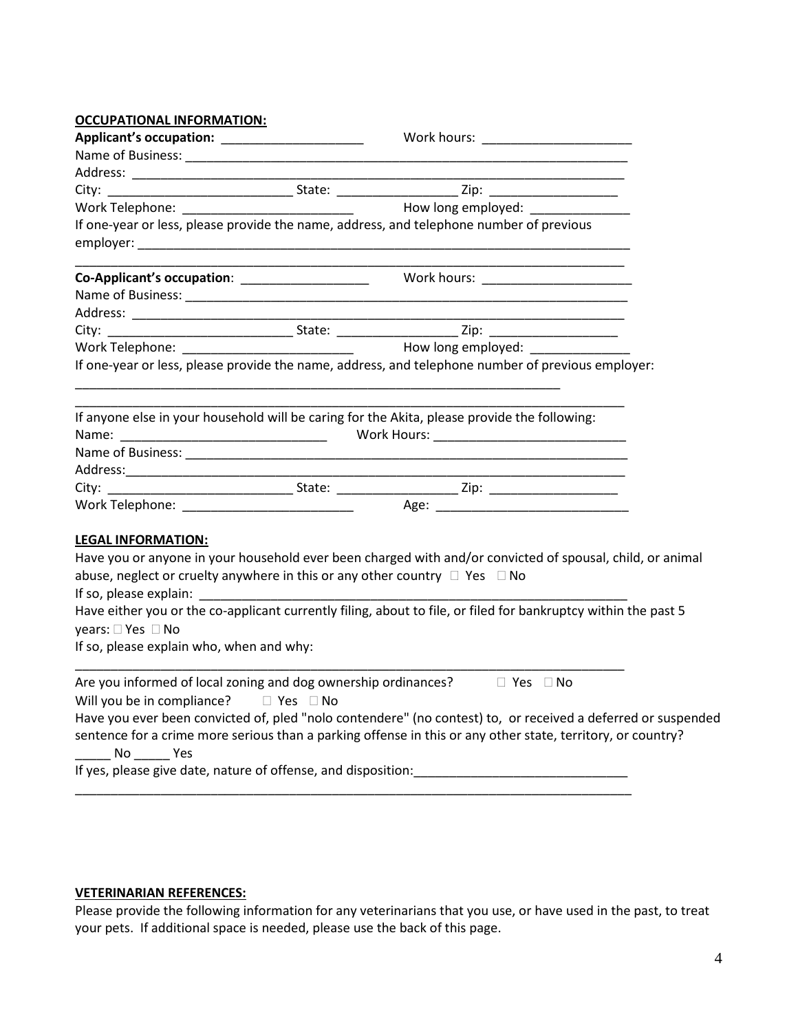| <b>OCCUPATIONAL INFORMATION:</b>              |                      |                                                                                                                |  |
|-----------------------------------------------|----------------------|----------------------------------------------------------------------------------------------------------------|--|
| Applicant's occupation: _____________________ |                      | Work hours: _______________________                                                                            |  |
|                                               |                      |                                                                                                                |  |
|                                               |                      |                                                                                                                |  |
|                                               |                      |                                                                                                                |  |
|                                               |                      |                                                                                                                |  |
|                                               |                      | If one-year or less, please provide the name, address, and telephone number of previous                        |  |
|                                               |                      |                                                                                                                |  |
|                                               |                      |                                                                                                                |  |
|                                               |                      |                                                                                                                |  |
|                                               |                      |                                                                                                                |  |
|                                               |                      |                                                                                                                |  |
|                                               |                      |                                                                                                                |  |
|                                               |                      | If one-year or less, please provide the name, address, and telephone number of previous employer:              |  |
|                                               |                      | If anyone else in your household will be caring for the Akita, please provide the following:                   |  |
|                                               |                      |                                                                                                                |  |
|                                               |                      |                                                                                                                |  |
|                                               |                      |                                                                                                                |  |
|                                               |                      |                                                                                                                |  |
|                                               |                      |                                                                                                                |  |
| <b>LEGAL INFORMATION:</b>                     |                      |                                                                                                                |  |
|                                               |                      | Have you or anyone in your household ever been charged with and/or convicted of spousal, child, or animal      |  |
|                                               |                      | abuse, neglect or cruelty anywhere in this or any other country $\Box$ Yes $\Box$ No                           |  |
|                                               |                      |                                                                                                                |  |
|                                               |                      | Have either you or the co-applicant currently filing, about to file, or filed for bankruptcy within the past 5 |  |
| years: □ Yes □ No                             |                      |                                                                                                                |  |
| If so, please explain who, when and why:      |                      |                                                                                                                |  |
|                                               |                      | Are you informed of local zoning and dog ownership ordinances? $\Box$ Yes $\Box$ No                            |  |
| Will you be in compliance?                    | $\Box$ Yes $\Box$ No |                                                                                                                |  |
|                                               |                      | Have you ever been convicted of, pled "nolo contendere" (no contest) to, or received a deferred or suspended   |  |
|                                               |                      | sentence for a crime more serious than a parking offense in this or any other state, territory, or country?    |  |
|                                               |                      |                                                                                                                |  |
|                                               |                      |                                                                                                                |  |

# **VETERINARIAN REFERENCES:**

Please provide the following information for any veterinarians that you use, or have used in the past, to treat your pets. If additional space is needed, please use the back of this page.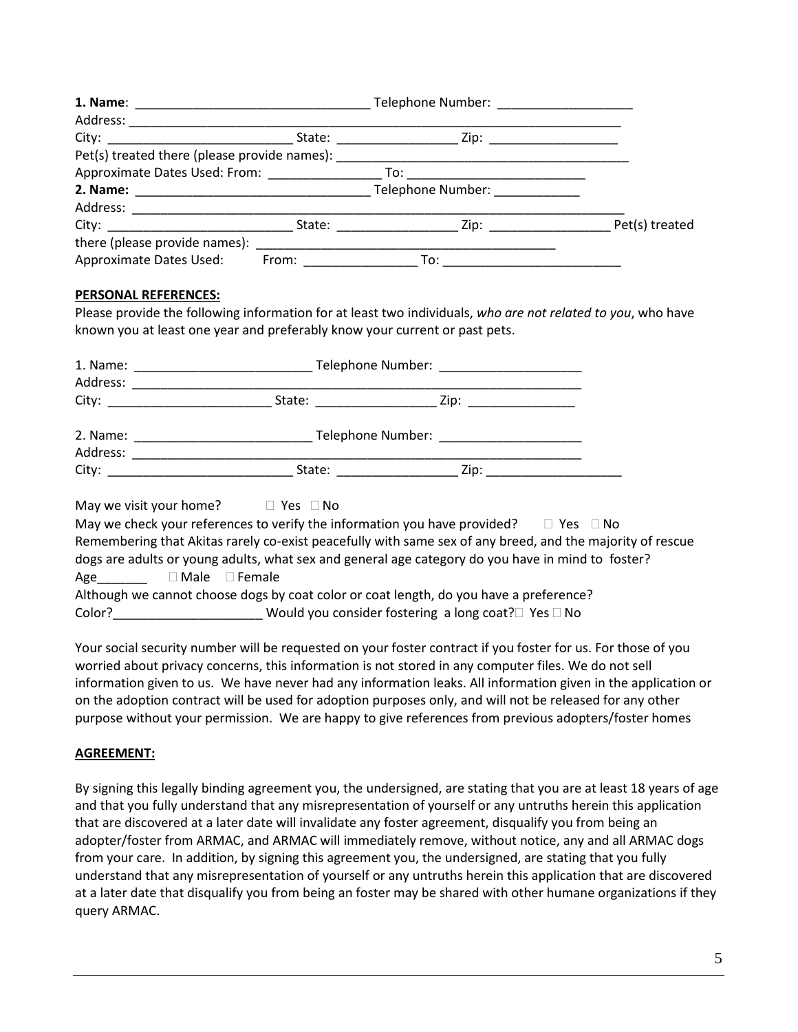| Address: _____________________ |                                                                                                                                                                                                                                |                                                                                  |  |
|--------------------------------|--------------------------------------------------------------------------------------------------------------------------------------------------------------------------------------------------------------------------------|----------------------------------------------------------------------------------|--|
|                                |                                                                                                                                                                                                                                |                                                                                  |  |
|                                |                                                                                                                                                                                                                                | Pet(s) treated there (please provide names): ___________________________________ |  |
|                                |                                                                                                                                                                                                                                |                                                                                  |  |
|                                |                                                                                                                                                                                                                                |                                                                                  |  |
|                                |                                                                                                                                                                                                                                |                                                                                  |  |
|                                |                                                                                                                                                                                                                                |                                                                                  |  |
|                                |                                                                                                                                                                                                                                |                                                                                  |  |
| Approximate Dates Used:        | From: the contract of the contract of the contract of the contract of the contract of the contract of the contract of the contract of the contract of the contract of the contract of the contract of the contract of the cont |                                                                                  |  |

### **PERSONAL REFERENCES:**

Please provide the following information for at least two individuals, *who are not related to you*, who have known you at least one year and preferably know your current or past pets.

| Address: | Telephone Number: _______________________                                                                                                                                                                                              |
|----------|----------------------------------------------------------------------------------------------------------------------------------------------------------------------------------------------------------------------------------------|
|          | City: __________________________                                                                                                                                                                                                       |
| Address: | Telephone Number: _______________________                                                                                                                                                                                              |
|          | State: and the state of the state of the state of the state of the state of the state of the state of the state of the state of the state of the state of the state of the state of the state of the state of the state of the<br>Zip: |

May we visit your home?  $\Box$  Yes  $\Box$  No May we check your references to verify the information you have provided?  $\Box$  Yes  $\Box$  No Remembering that Akitas rarely co-exist peacefully with same sex of any breed, and the majority of rescue dogs are adults or young adults, what sex and general age category do you have in mind to foster? Age Male Female Although we cannot choose dogs by coat color or coat length, do you have a preference? Color? Color? Color Color Color Color Color Color Color Color Color Color Color Color Color Color Color Color Color Color Color Color Color Color Color Color Color Color Color Color Color Color Color Color Color Color Colo

Your social security number will be requested on your foster contract if you foster for us. For those of you worried about privacy concerns, this information is not stored in any computer files. We do not sell information given to us. We have never had any information leaks. All information given in the application or on the adoption contract will be used for adoption purposes only, and will not be released for any other purpose without your permission. We are happy to give references from previous adopters/foster homes

## **AGREEMENT:**

By signing this legally binding agreement you, the undersigned, are stating that you are at least 18 years of age and that you fully understand that any misrepresentation of yourself or any untruths herein this application that are discovered at a later date will invalidate any foster agreement, disqualify you from being an adopter/foster from ARMAC, and ARMAC will immediately remove, without notice, any and all ARMAC dogs from your care. In addition, by signing this agreement you, the undersigned, are stating that you fully understand that any misrepresentation of yourself or any untruths herein this application that are discovered at a later date that disqualify you from being an foster may be shared with other humane organizations if they query ARMAC.